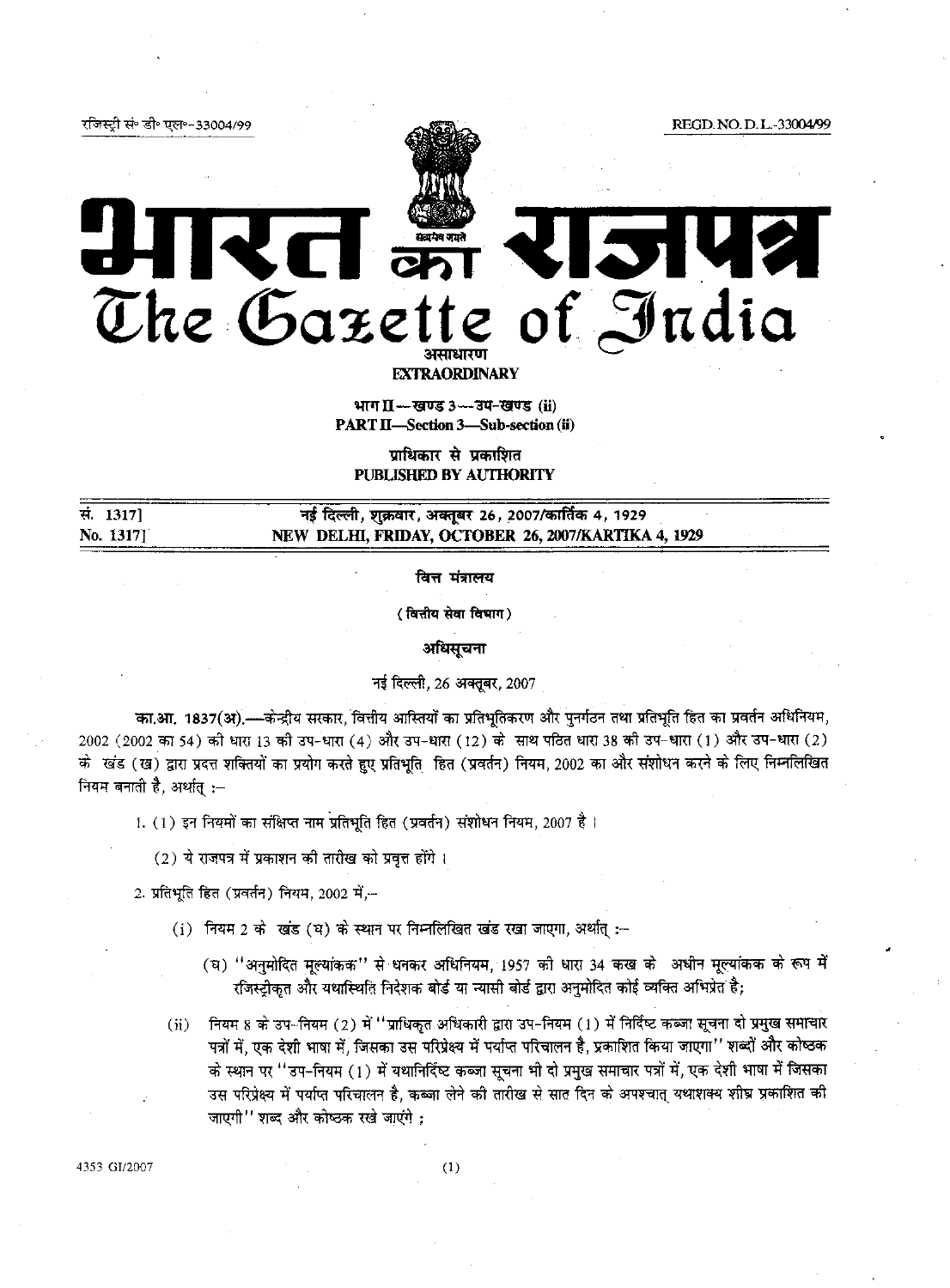रजिस्ट्री सं॰ डी॰ एल॰-33004/99

REGD. NO.D.L.-33004/99



## **2142 RELATE** The Gazette of India

**EXTRAORDINARY** 

भाग II - खण्ड 3 - उप-खण्ड (ii) PART II-Section 3-Sub-section (ii)

प्राधिकार से प्रकाशित PUBLISHED BY AUTHORITY

सं. 1317] No. 1317]

नई दिल्ली, शुक्रवार, अक्तूबर 26, 2007/कार्तिक 4, 1929 NEW DELHI, FRIDAY, OCTOBER 26, 2007/KARTIKA 4, 1929

वित्त मंत्रालय

(वित्तीय सेवा विभाग)

अधिसूचना

नई दिल्ली, 26 अक्तूबर, 2007

का.आ. 1837(अ),—केन्द्रीय सरकार, वित्तीय आस्तियों का प्रतिभूतिकरण और पुनर्गठन तथा प्रतिभूति हित का प्रवर्तन अधिनियम, 2002 (2002 का 54) की धारा 13 की उप-धारा (4) और उप-धारा (12) के साथ पठित धारा 38 की उप-धारा (1) और उप-धारा (2) के खंड (ख) द्वारा प्रदत्त शक्तियों का प्रयोग करते हुए प्रतिभूति हित (प्रवर्तन) नियम, 2002 का और संशोधन करने के लिए निम्नलिखित नियम बनाती है, अर्थात् :-

1. (1) इन नियमों का संक्षिप्त नाम प्रतिभूति हित (प्रवर्तन) संशोधन नियम, 2007 है।

(2) ये राजपत्र में प्रकाशन की तारीख को प्रवृत्त होंगे।

2. प्रतिभूति हित (प्रवर्तन) नियम, 2002 में,--

- (i) नियम 2 के खंड (ध) के स्थान पर निम्नलिखित खंड रखा जाएगा, अर्थात् :-
	- (घ) "अनुमोदित मूल्यांकक" से धनकर अधिनियम, 1957 की धारा 34 कख के अधीन मूल्यांकक के रूप में रजिस्ट्रीकृत और यथास्थिति निदेशक बोर्ड या न्यासी बोर्ड द्वारा अनुमोदित कोई व्यक्ति अभिप्रेत है;
- (ii) नियम 8 के उप-नियम (2) में "प्राधिकृत अधिकारी द्वारा उप-नियम (1) में निर्दिष्ट कब्जा सूचना दो प्रमुख समाचार पत्रों में, एक देशी भाषा में, जिसका उस परिप्रेक्ष्य में पर्याप्त परिचालन है, प्रकाशित किया जाएगा'' शब्दों और कोष्ठक के स्थान पर ''उप-नियम (1) में यथानिर्दिष्ट कब्जा सूचना भी दो प्रमुख समाचार पत्रों में, एक देशी भाषा में जिसका उस परिप्रेक्ष्य में पर्याप्त परिचालन है. कब्जा लेने की तारीख से सात दिन के अपश्चात यथाशक्य शीघ्र प्रकाशित की जाएगी" शब्द और कोष्ठक रखे जाएंगे :